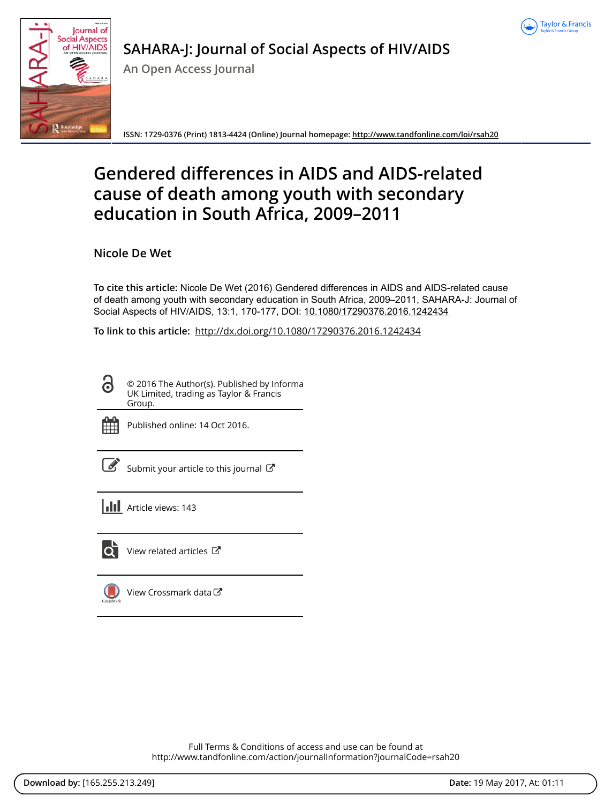



# **SAHARA-J: Journal of Social Aspects of HIV/AIDS**

**An Open Access Journal**

**ISSN: 1729-0376 (Print) 1813-4424 (Online) Journal homepage:<http://www.tandfonline.com/loi/rsah20>**

# **Gendered differences in AIDS and AIDS-related cause of death among youth with secondary education in South Africa, 2009–2011**

**Nicole De Wet**

**To cite this article:** Nicole De Wet (2016) Gendered differences in AIDS and AIDS-related cause of death among youth with secondary education in South Africa, 2009–2011, SAHARA-J: Journal of Social Aspects of HIV/AIDS, 13:1, 170-177, DOI: [10.1080/17290376.2016.1242434](http://www.tandfonline.com/action/showCitFormats?doi=10.1080/17290376.2016.1242434)

**To link to this article:** <http://dx.doi.org/10.1080/17290376.2016.1242434>

6 © 2016 The Author(s). Published by Informa UK Limited, trading as Taylor & Francis Group.



Published online: 14 Oct 2016.



 $\overline{\mathscr{L}}$  [Submit your article to this journal](http://www.tandfonline.com/action/authorSubmission?journalCode=rsah20&show=instructions)  $\mathbb{E}^{\bullet}$ 

**III** Article views: 143



View related articles

[View Crossmark data](http://crossmark.crossref.org/dialog/?doi=10.1080/17290376.2016.1242434&domain=pdf&date_stamp=2016-10-14)

Full Terms & Conditions of access and use can be found at <http://www.tandfonline.com/action/journalInformation?journalCode=rsah20>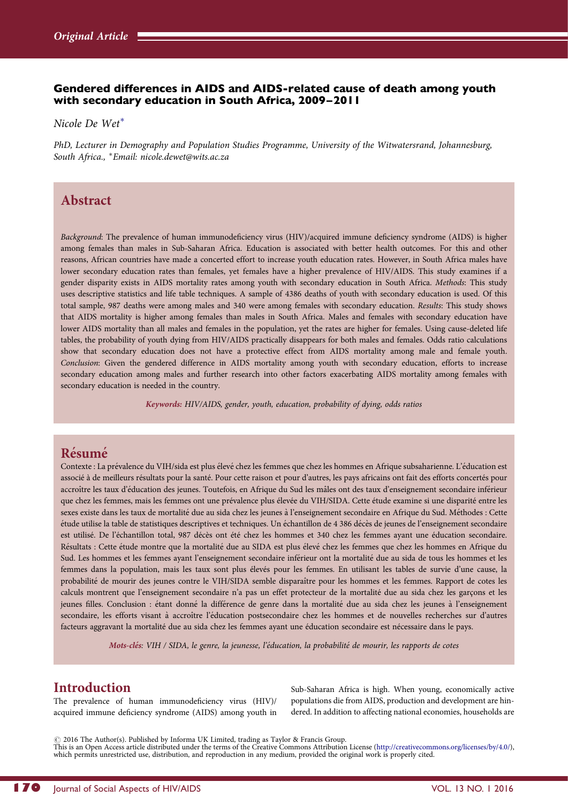### Gendered differences in AIDS and AIDS-related cause of death among youth with secondary education in South Africa, 2009 –2011

Nicole De Wet<sup>∗</sup>

PhD, Lecturer in Demography and Population Studies Programme, University of the Witwatersrand, Johannesburg, South Africa., <sup>∗</sup>Email: [nicole.dewet@wits.ac.za](mailto:nicole.dewet@wits.ac.za)

## Abstract

Background: The prevalence of human immunodeficiency virus (HIV)/acquired immune deficiency syndrome (AIDS) is higher among females than males in Sub-Saharan Africa. Education is associated with better health outcomes. For this and other reasons, African countries have made a concerted effort to increase youth education rates. However, in South Africa males have lower secondary education rates than females, yet females have a higher prevalence of HIV/AIDS. This study examines if a gender disparity exists in AIDS mortality rates among youth with secondary education in South Africa. Methods: This study uses descriptive statistics and life table techniques. A sample of 4386 deaths of youth with secondary education is used. Of this total sample, 987 deaths were among males and 340 were among females with secondary education. Results: This study shows that AIDS mortality is higher among females than males in South Africa. Males and females with secondary education have lower AIDS mortality than all males and females in the population, yet the rates are higher for females. Using cause-deleted life tables, the probability of youth dying from HIV/AIDS practically disappears for both males and females. Odds ratio calculations show that secondary education does not have a protective effect from AIDS mortality among male and female youth. Conclusion: Given the gendered difference in AIDS mortality among youth with secondary education, efforts to increase secondary education among males and further research into other factors exacerbating AIDS mortality among females with secondary education is needed in the country.

Keywords: HIV/AIDS, gender, youth, education, probability of dying, odds ratios

## Résumé

Contexte : La prévalence du VIH/sida est plus élevé chez les femmes que chez les hommes en Afrique subsaharienne. L'éducation est associé à de meilleurs résultats pour la santé. Pour cette raison et pour d'autres, les pays africains ont fait des efforts concertés pour accroître les taux d'éducation des jeunes. Toutefois, en Afrique du Sud les mâles ont des taux d'enseignement secondaire inférieur que chez les femmes, mais les femmes ont une prévalence plus élevée du VIH/SIDA. Cette étude examine si une disparité entre les sexes existe dans les taux de mortalité due au sida chez les jeunes à l'enseignement secondaire en Afrique du Sud. Méthodes : Cette étude utilise la table de statistiques descriptives et techniques. Un échantillon de 4 386 décès de jeunes de l'enseignement secondaire est utilisé. De l'échantillon total, 987 décès ont été chez les hommes et 340 chez les femmes ayant une éducation secondaire. Résultats : Cette étude montre que la mortalité due au SIDA est plus élevé chez les femmes que chez les hommes en Afrique du Sud. Les hommes et les femmes ayant l'enseignement secondaire inférieur ont la mortalité due au sida de tous les hommes et les femmes dans la population, mais les taux sont plus élevés pour les femmes. En utilisant les tables de survie d'une cause, la probabilité de mourir des jeunes contre le VIH/SIDA semble disparaître pour les hommes et les femmes. Rapport de cotes les calculs montrent que l'enseignement secondaire n'a pas un effet protecteur de la mortalité due au sida chez les garçons et les jeunes filles. Conclusion : étant donné la différence de genre dans la mortalité due au sida chez les jeunes à l'enseignement secondaire, les efforts visant à accroître l'éducation postsecondaire chez les hommes et de nouvelles recherches sur d'autres facteurs aggravant la mortalité due au sida chez les femmes ayant une éducation secondaire est nécessaire dans le pays.

Mots-clés: VIH / SIDA, le genre, la jeunesse, l'éducation, la probabilité de mourir, les rapports de cotes

## Introduction

The prevalence of human immunodeficiency virus (HIV)/ acquired immune deficiency syndrome (AIDS) among youth in Sub-Saharan Africa is high. When young, economically active populations die from AIDS, production and development are hindered. In addition to affecting national economies, households are

 $\circ$  2016 The Author(s). Published by Informa UK Limited, trading as Taylor & Francis Group.

This is an Open Access article distributed under the terms of the Creative Commons Attribution License ([http://creativecommons.org/licenses/by/4.0/\)](http://creativecommons.org/licenses/by/4.0/), which permits unrestricted use, distribution, and reproduction in any medium, provided the original work is properly cited.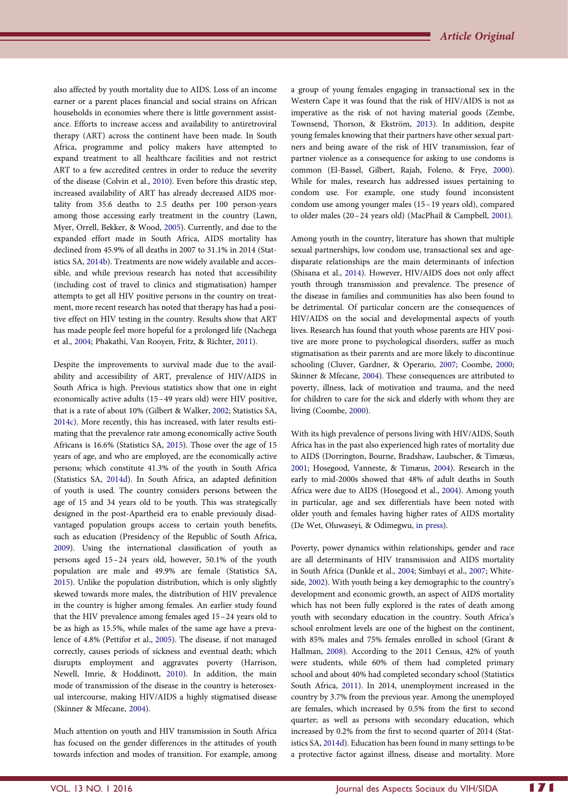<span id="page-2-0"></span>also affected by youth mortality due to AIDS. Loss of an income earner or a parent places financial and social strains on African households in economies where there is little government assistance. Efforts to increase access and availability to antiretroviral therapy (ART) across the continent have been made. In South Africa, programme and policy makers have attempted to expand treatment to all healthcare facilities and not restrict ART to a few accredited centres in order to reduce the severity of the disease (Colvin et al., [2010](#page-8-0)). Even before this drastic step, increased availability of ART has already decreased AIDS mortality from 35.6 deaths to 2.5 deaths per 100 person-years among those accessing early treatment in the country (Lawn, Myer, Orrell, Bekker, & Wood, [2005](#page-8-0)). Currently, and due to the expanded effort made in South Africa, AIDS mortality has declined from 45.9% of all deaths in 2007 to 31.1% in 2014 (Statistics SA, [2014b](#page-8-0)). Treatments are now widely available and accessible, and while previous research has noted that accessibility (including cost of travel to clinics and stigmatisation) hamper attempts to get all HIV positive persons in the country on treatment, more recent research has noted that therapy has had a positive effect on HIV testing in the country. Results show that ART has made people feel more hopeful for a prolonged life (Nachega et al., [2004](#page-8-0); Phakathi, Van Rooyen, Fritz, & Richter, [2011\)](#page-8-0).

Despite the improvements to survival made due to the availability and accessibility of ART, prevalence of HIV/AIDS in South Africa is high. Previous statistics show that one in eight economically active adults (15–49 years old) were HIV positive, that is a rate of about 10% (Gilbert & Walker, [2002;](#page-8-0) Statistics SA, [2014c](#page-8-0)). More recently, this has increased, with later results estimating that the prevalence rate among economically active South Africans is 16.6% (Statistics SA, [2015\)](#page-8-0). Those over the age of 15 years of age, and who are employed, are the economically active persons; which constitute 41.3% of the youth in South Africa (Statistics SA, [2014d\)](#page-8-0). In South Africa, an adapted definition of youth is used. The country considers persons between the age of 15 and 34 years old to be youth. This was strategically designed in the post-Apartheid era to enable previously disadvantaged population groups access to certain youth benefits, such as education (Presidency of the Republic of South Africa, [2009](#page-8-0)). Using the international classification of youth as persons aged 15–24 years old, however, 50.1% of the youth population are male and 49.9% are female (Statistics SA, [2015](#page-8-0)). Unlike the population distribution, which is only slightly skewed towards more males, the distribution of HIV prevalence in the country is higher among females. An earlier study found that the HIV prevalence among females aged 15–24 years old to be as high as 15.5%, while males of the same age have a prevalence of 4.8% (Pettifor et al., [2005](#page-8-0)). The disease, if not managed correctly, causes periods of sickness and eventual death; which disrupts employment and aggravates poverty (Harrison, Newell, Imrie, & Hoddinott, [2010\)](#page-8-0). In addition, the main mode of transmission of the disease in the country is heterosexual intercourse, making HIV/AIDS a highly stigmatised disease (Skinner & Mfecane, [2004\)](#page-8-0).

Much attention on youth and HIV transmission in South Africa has focused on the gender differences in the attitudes of youth towards infection and modes of transition. For example, among a group of young females engaging in transactional sex in the Western Cape it was found that the risk of HIV/AIDS is not as imperative as the risk of not having material goods (Zembe, Townsend, Thorson, & Ekström, [2013\)](#page-8-0). In addition, despite young females knowing that their partners have other sexual partners and being aware of the risk of HIV transmission, fear of partner violence as a consequence for asking to use condoms is common (El-Bassel, Gilbert, Rajah, Foleno, & Frye, [2000](#page-8-0)). While for males, research has addressed issues pertaining to condom use. For example, one study found inconsistent condom use among younger males (15 –19 years old), compared to older males (20–24 years old) (MacPhail & Campbell, [2001](#page-8-0)).

Among youth in the country, literature has shown that multiple sexual partnerships, low condom use, transactional sex and agedisparate relationships are the main determinants of infection (Shisana et al., [2014\)](#page-8-0). However, HIV/AIDS does not only affect youth through transmission and prevalence. The presence of the disease in families and communities has also been found to be detrimental. Of particular concern are the consequences of HIV/AIDS on the social and developmental aspects of youth lives. Research has found that youth whose parents are HIV positive are more prone to psychological disorders, suffer as much stigmatisation as their parents and are more likely to discontinue schooling (Cluver, Gardner, & Operario, [2007;](#page-8-0) Coombe, [2000](#page-8-0); Skinner & Mfecane, [2004](#page-8-0)). These consequences are attributed to poverty, illness, lack of motivation and trauma, and the need for children to care for the sick and elderly with whom they are living (Coombe, [2000](#page-8-0)).

With its high prevalence of persons living with HIV/AIDS, South Africa has in the past also experienced high rates of mortality due to AIDS (Dorrington, Bourne, Bradshaw, Laubscher, & Timæus, [2001](#page-8-0); Hosegood, Vanneste, & Timæus, [2004\)](#page-8-0). Research in the early to mid-2000s showed that 48% of adult deaths in South Africa were due to AIDS (Hosegood et al., [2004\)](#page-8-0). Among youth in particular, age and sex differentials have been noted with older youth and females having higher rates of AIDS mortality (De Wet, Oluwaseyi, & Odimegwu, [in press](#page-8-0)).

Poverty, power dynamics within relationships, gender and race are all determinants of HIV transmission and AIDS mortality in South Africa (Dunkle et al., [2004](#page-8-0); Simbayi et al., [2007](#page-8-0); Whiteside, [2002\)](#page-8-0). With youth being a key demographic to the country's development and economic growth, an aspect of AIDS mortality which has not been fully explored is the rates of death among youth with secondary education in the country. South Africa's school enrolment levels are one of the highest on the continent, with 85% males and 75% females enrolled in school (Grant & Hallman, [2008\)](#page-8-0). According to the 2011 Census, 42% of youth were students, while 60% of them had completed primary school and about 40% had completed secondary school (Statistics South Africa, [2011\)](#page-8-0). In 2014, unemployment increased in the country by 3.7% from the previous year. Among the unemployed are females, which increased by 0.5% from the first to second quarter; as well as persons with secondary education, which increased by 0.2% from the first to second quarter of 2014 (Statistics SA, [2014d\)](#page-8-0). Education has been found in many settings to be a protective factor against illness, disease and mortality. More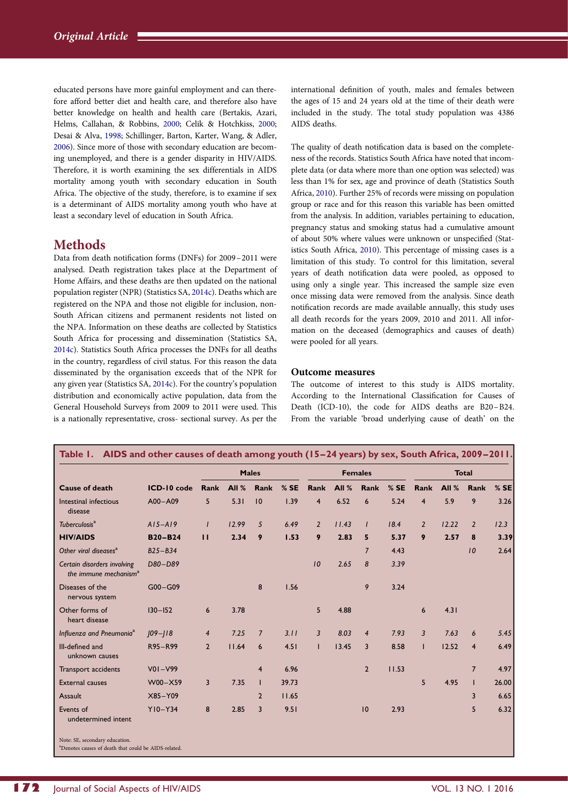<span id="page-3-0"></span>educated persons have more gainful employment and can therefore afford better diet and health care, and therefore also have better knowledge on health and health care (Bertakis, Azari, Helms, Callahan, & Robbins, [2000](#page-8-0); Celik & Hotchkiss, [2000](#page-8-0); Desai & Alva, [1998;](#page-8-0) Schillinger, Barton, Karter, Wang, & Adler, [2006](#page-8-0)). Since more of those with secondary education are becoming unemployed, and there is a gender disparity in HIV/AIDS. Therefore, it is worth examining the sex differentials in AIDS mortality among youth with secondary education in South Africa. The objective of the study, therefore, is to examine if sex is a determinant of AIDS mortality among youth who have at least a secondary level of education in South Africa.

## **Methods**

Data from death notification forms (DNFs) for 2009–2011 were analysed. Death registration takes place at the Department of Home Affairs, and these deaths are then updated on the national population register (NPR) (Statistics SA, [2014c\)](#page-8-0). Deaths which are registered on the NPA and those not eligible for inclusion, non-South African citizens and permanent residents not listed on the NPA. Information on these deaths are collected by Statistics South Africa for processing and dissemination (Statistics SA, [2014c](#page-8-0)). Statistics South Africa processes the DNFs for all deaths in the country, regardless of civil status. For this reason the data disseminated by the organisation exceeds that of the NPR for any given year (Statistics SA, [2014c](#page-8-0)). For the country's population distribution and economically active population, data from the General Household Surveys from 2009 to 2011 were used. This is a nationally representative, cross- sectional survey. As per the international definition of youth, males and females between the ages of 15 and 24 years old at the time of their death were included in the study. The total study population was 4386 AIDS deaths.

The quality of death notification data is based on the completeness of the records. Statistics South Africa have noted that incomplete data (or data where more than one option was selected) was less than 1% for sex, age and province of death (Statistics South Africa, [2010](#page-8-0)). Further 25% of records were missing on population group or race and for this reason this variable has been omitted from the analysis. In addition, variables pertaining to education, pregnancy status and smoking status had a cumulative amount of about 50% where values were unknown or unspecified (Statistics South Africa, [2010\)](#page-8-0). This percentage of missing cases is a limitation of this study. To control for this limitation, several years of death notification data were pooled, as opposed to using only a single year. This increased the sample size even once missing data were removed from the analysis. Since death notification records are made available annually, this study uses all death records for the years 2009, 2010 and 2011. All information on the deceased (demographics and causes of death) were pooled for all years.

### Outcome measures

The outcome of interest to this study is AIDS mortality. According to the International Classification for Causes of Death (ICD-10), the code for AIDS deaths are B20-B24. From the variable 'broad underlying cause of death' on the

|                                                                  |                | <b>Males</b>   |         |                 | <b>Females</b> |                |         | <b>Total</b>   |       |                |         |                |        |
|------------------------------------------------------------------|----------------|----------------|---------|-----------------|----------------|----------------|---------|----------------|-------|----------------|---------|----------------|--------|
| <b>Cause of death</b>                                            | ICD-10 code    | <b>Rank</b>    | All $%$ | Rank            | %SE            | Rank           | All $%$ | <b>Rank</b>    | %SE   | <b>Rank</b>    | All $%$ | Rank           | $%$ SE |
| Intestinal infectious<br>disease                                 | $A00 - A09$    | 5              | 5.31    | 10              | 1.39           | $\overline{4}$ | 6.52    | 6              | 5.24  | $\overline{4}$ | 5.9     | 9              | 3.26   |
| Tuberculosis <sup>a</sup>                                        | $A15 - A19$    | $\mathbf{I}$   | 12.99   | 5               | 6.49           | $\overline{2}$ | 11.43   | $\mathbf{I}$   | 18.4  | $\overline{2}$ | 12.22   | $\overline{2}$ | 12.3   |
| <b>HIV/AIDS</b>                                                  | <b>B20-B24</b> | $\mathbf{H}$   | 2.34    | 9               | 1.53           | 9              | 2.83    | 5              | 5.37  | 9              | 2.57    | 8              | 3.39   |
| Other viral diseases <sup>a</sup>                                | $B25-B34$      |                |         |                 |                |                |         | $\overline{7}$ | 4.43  |                |         | 10             | 2.64   |
| Certain disorders involving<br>the immune mechanism <sup>a</sup> | D80-D89        |                |         |                 |                | 10             | 2.65    | 8              | 3.39  |                |         |                |        |
| Diseases of the<br>nervous system                                | G00-G09        |                |         | 8               | 1.56           |                |         | 9              | 3.24  |                |         |                |        |
| Other forms of<br>heart disease                                  | $130 - 152$    | 6              | 3.78    |                 |                | 5              | 4.88    |                |       | 6              | 4.31    |                |        |
| Influenza and Pneumonia <sup>a</sup>                             | $109 - 118$    | $\overline{4}$ | 7.25    | $\overline{7}$  | 3.11           | $\overline{3}$ | 8.03    | $\overline{4}$ | 7.93  | $\overline{3}$ | 7.63    | 6              | 5.45   |
| Ill-defined and<br>unknown causes                                | R95-R99        | $\overline{2}$ | 11.64   | $6\overline{6}$ | 4.51           |                | 13.45   | 3              | 8.58  | $\mathbf{I}$   | 12.52   | $\overline{4}$ | 6.49   |
| Transport accidents                                              | $V01-V99$      |                |         | $\overline{4}$  | 6.96           |                |         | $\overline{2}$ | 11.53 |                |         | $\overline{7}$ | 4.97   |
| <b>External causes</b>                                           | W00-X59        | $\overline{3}$ | 7.35    | $\mathbf{I}$    | 39.73          |                |         |                |       | 5              | 4.95    | н              | 26.00  |
| Assault                                                          | X85-Y09        |                |         | $\overline{2}$  | 11.65          |                |         |                |       |                |         | 3              | 6.65   |
| Events of<br>undetermined intent                                 | $Y10-Y34$      | 8              | 2.85    | 3               | 9.51           |                |         | 10             | 2.93  |                |         | 5              | 6.32   |

Note: SE, secondary education. a Denotes causes of death that could be AIDS-related.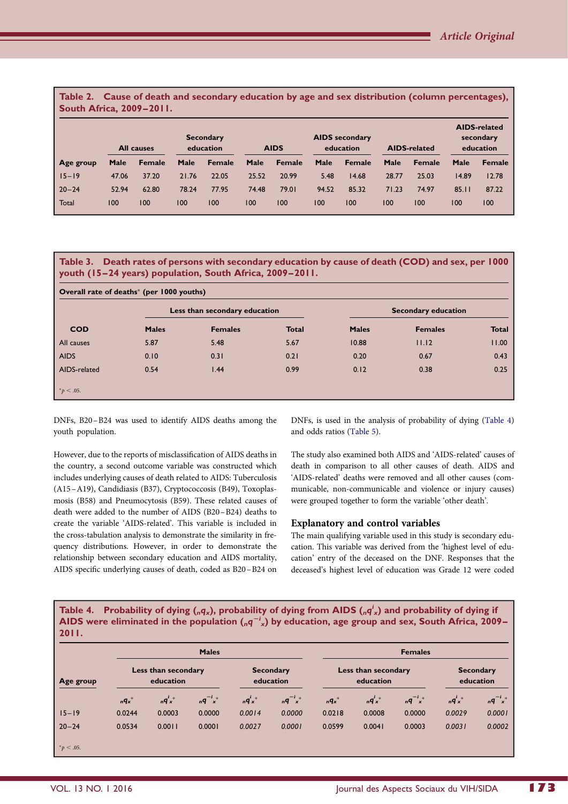<span id="page-4-0"></span>Table 2. Cause of death and secondary education by age and sex distribution (column percentages), South Africa, 2009 –2011.

|           |       | <b>All causes</b> | <b>Secondary</b><br>education |        | <b>AIDS</b> secondary<br><b>AIDS</b><br>education |               |       | <b>AIDS-related</b> |       | <b>AIDS-related</b><br>secondary<br>education |       |        |
|-----------|-------|-------------------|-------------------------------|--------|---------------------------------------------------|---------------|-------|---------------------|-------|-----------------------------------------------|-------|--------|
| Age group | Male  | <b>Female</b>     | Male                          | Female | Male                                              | <b>Female</b> | Male  | <b>Female</b>       | Male  | <b>Female</b>                                 | Male  | Female |
| $15 - 19$ | 47.06 | 37.20             | 21.76                         | 22.05  | 25.52                                             | 20.99         | 5.48  | 14.68               | 28.77 | 25.03                                         | 14.89 | 12.78  |
| $20 - 24$ | 52.94 | 62.80             | 78.24                         | 77.95  | 74.48                                             | 79.01         | 94.52 | 85.32               | 71.23 | 74.97                                         | 85.11 | 87.22  |
| Total     | 100   | 100               | 100                           | 100    | 100                                               | 100           | 100   | 100                 | 100   | 100                                           | 100   | 100    |

|                                                          |  | Table 3. Death rates of persons with secondary education by cause of death (COD) and sex, per 1000 |
|----------------------------------------------------------|--|----------------------------------------------------------------------------------------------------|
| youth (15–24 years) population, South Africa, 2009–2011. |  |                                                                                                    |

| Overall rate of deaths* (per 1000 youths) |              | Less than secondary education |              | <b>Secondary education</b> |                |              |  |
|-------------------------------------------|--------------|-------------------------------|--------------|----------------------------|----------------|--------------|--|
| <b>COD</b>                                | <b>Males</b> | <b>Females</b>                | <b>Total</b> | <b>Males</b>               | <b>Females</b> | <b>Total</b> |  |
| All causes                                | 5.87         | 5.48                          | 5.67         | 10.88                      | 11.12          | 11.00        |  |
| AIDS                                      | 0.10         | 0.31                          | 0.21         | 0.20                       | 0.67           | 0.43         |  |
| AIDS-related                              | 0.54         | 1.44                          | 0.99         | 0.12                       | 0.38           | 0.25         |  |
| $p < .05$ .                               |              |                               |              |                            |                |              |  |

DNFs, B20–B24 was used to identify AIDS deaths among the youth population.

However, due to the reports of misclassification of AIDS deaths in the country, a second outcome variable was constructed which includes underlying causes of death related to AIDS: Tuberculosis (A15 –A19), Candidiasis (B37), Cryptococcosis (B49), Toxoplasmosis (B58) and Pneumocytosis (B59). These related causes of death were added to the number of AIDS (B20–B24) deaths to create the variable 'AIDS-related'. This variable is included in the cross-tabulation analysis to demonstrate the similarity in frequency distributions. However, in order to demonstrate the relationship between secondary education and AIDS mortality, AIDS specific underlying causes of death, coded as B20 –B24 on

DNFs, is used in the analysis of probability of dying (Table 4) and odds ratios ([Table 5\)](#page-5-0).

The study also examined both AIDS and 'AIDS-related' causes of death in comparison to all other causes of death. AIDS and 'AIDS-related' deaths were removed and all other causes (communicable, non-communicable and violence or injury causes) were grouped together to form the variable 'other death'.

#### Explanatory and control variables

The main qualifying variable used in this study is secondary education. This variable was derived from the 'highest level of education' entry of the deceased on the DNF. Responses that the deceased's highest level of education was Grade 12 were coded

Table 4. Probability of dying (<sub>n</sub>q<sub>x</sub>), probability of dying from AIDS (<sub>n</sub>q<sup>i</sup><sub>x</sub>) and probability of dying if AIDS were eliminated in the population  $({_{n}q}^{-i}_{x})$  by education, age group and sex, South Africa, 2009– 2011.

|                |                                  |        | <b>Males</b>   |                               | <b>Females</b> |                                  |        |                |                               |              |
|----------------|----------------------------------|--------|----------------|-------------------------------|----------------|----------------------------------|--------|----------------|-------------------------------|--------------|
| Age group      | Less than secondary<br>education |        |                | <b>Secondary</b><br>education |                | Less than secondary<br>education |        |                | <b>Secondary</b><br>education |              |
|                | $nq_x$ *                         | nq'    | $nq^{-i}x^{*}$ | nq'                           | $nq^{-i}x^*$   | $nq_x$ *                         | nq'    | $nq^{-i}x^{*}$ | nq'                           | $nq^{-i}x^*$ |
| $15 - 19$      | 0.0244                           | 0.0003 | 0.0000         | 0.0014                        | 0.0000         | 0.0218                           | 0.0008 | 0.0000         | 0.0029                        | 0.0001       |
| $20 - 24$      | 0.0534                           | 0.0011 | 0.0001         | 0.0027                        | 0.0001         | 0.0599                           | 0.0041 | 0.0003         | 0.0031                        | 0.0002       |
| $*_{p}$ < .05. |                                  |        |                |                               |                |                                  |        |                |                               |              |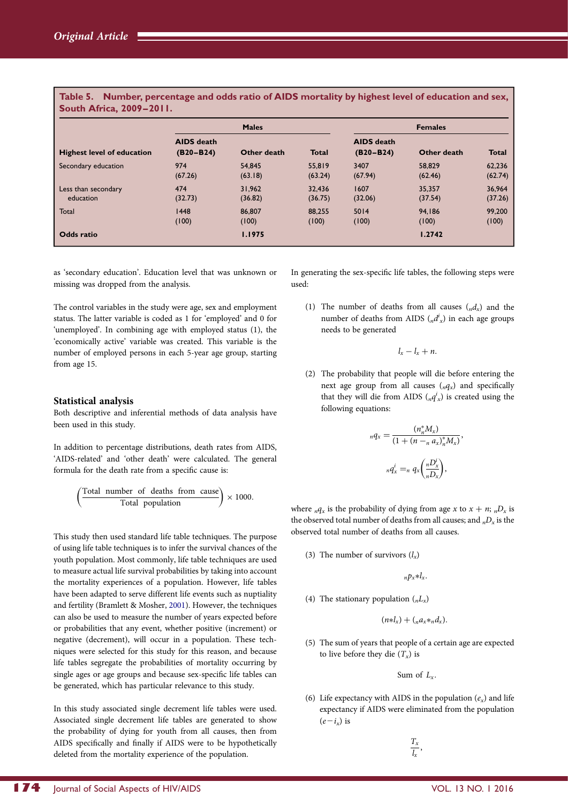<span id="page-5-0"></span>Table 5. Number, percentage and odds ratio of AIDS mortality by highest level of education and sex, South Africa, 2009 –2011.

|                                   |                                    | <b>Males</b> | <b>Females</b> |                                    |             |              |  |
|-----------------------------------|------------------------------------|--------------|----------------|------------------------------------|-------------|--------------|--|
| <b>Highest level of education</b> | <b>AIDS</b> death<br>$(B20 - B24)$ | Other death  | <b>Total</b>   | <b>AIDS</b> death<br>$(B20 - B24)$ | Other death | <b>Total</b> |  |
| Secondary education               | 974                                | 54,845       | 55,819         | 3407                               | 58,829      | 62,236       |  |
|                                   | (67.26)                            | (63.18)      | (63.24)        | (67.94)                            | (62.46)     | (62.74)      |  |
| Less than secondary               | 474                                | 31.962       | 32,436         | 1607                               | 35.357      | 36,964       |  |
| education                         | (32.73)                            | (36.82)      | (36.75)        | (32.06)                            | (37.54)     | (37.26)      |  |
| Total                             | 1448                               | 86,807       | 88.255         | 5014                               | 94.186      | 99,200       |  |
|                                   | (100)                              | (100)        | (100)          | (100)                              | (100)       | (100)        |  |
| Odds ratio                        |                                    | 1.1975       |                |                                    | 1.2742      |              |  |

as 'secondary education'. Education level that was unknown or missing was dropped from the analysis.

The control variables in the study were age, sex and employment status. The latter variable is coded as 1 for 'employed' and 0 for 'unemployed'. In combining age with employed status (1), the 'economically active' variable was created. This variable is the number of employed persons in each 5-year age group, starting from age 15.

#### Statistical analysis

Both descriptive and inferential methods of data analysis have been used in this study.

In addition to percentage distributions, death rates from AIDS, 'AIDS-related' and 'other death' were calculated. The general formula for the death rate from a specific cause is:

$$
\left(\frac{\text{Total number of deaths from cause}}{\text{Total population}}\right) \times 1000.
$$

This study then used standard life table techniques. The purpose of using life table techniques is to infer the survival chances of the youth population. Most commonly, life table techniques are used to measure actual life survival probabilities by taking into account the mortality experiences of a population. However, life tables have been adapted to serve different life events such as nuptiality and fertility (Bramlett & Mosher, [2001](#page-8-0)). However, the techniques can also be used to measure the number of years expected before or probabilities that any event, whether positive (increment) or negative (decrement), will occur in a population. These techniques were selected for this study for this reason, and because life tables segregate the probabilities of mortality occurring by single ages or age groups and because sex-specific life tables can be generated, which has particular relevance to this study.

In this study associated single decrement life tables were used. Associated single decrement life tables are generated to show the probability of dying for youth from all causes, then from AIDS specifically and finally if AIDS were to be hypothetically deleted from the mortality experience of the population.

In generating the sex-specific life tables, the following steps were used:

(1) The number of deaths from all causes  $\binom{n}{x}$  and the number of deaths from AIDS  $\binom{d^i}{d^i x}$  in each age groups needs to be generated

$$
l_x-l_x+n.
$$

(2) The probability that people will die before entering the next age group from all causes  $\binom{q}{r}$  and specifically that they will die from AIDS  $\binom{nq^i}{x}$  is created using the following equations:

$$
nq_x = \frac{(n_n^* M_x)}{(1 + (n -_n a_x)_n^* M_x)},
$$

$$
nq_x^i = n q_x \left(\frac{nD_x^i}{nD_x}\right),
$$

where  $_nq_x$  is the probability of dying from age x to  $x + n$ ;  $nD_x$  is the observed total number of deaths from all causes; and  $nD<sub>x</sub>$  is the observed total number of deaths from all causes.

(3) The number of survivors  $(l_x)$ 

 $n p_x * l_x$ .

(4) The stationary population  $(_nL_x)$ 

 $(n * l_x) + (n a_x * n d_x).$ 

(5) The sum of years that people of a certain age are expected to live before they die  $(T_x)$  is

Sum of  $L_r$ .

(6) Life expectancy with AIDS in the population  $(e_x)$  and life expectancy if AIDS were eliminated from the population  $(e-i_{r})$  is

> $T_{x}$  $\frac{1}{l_x}$ ,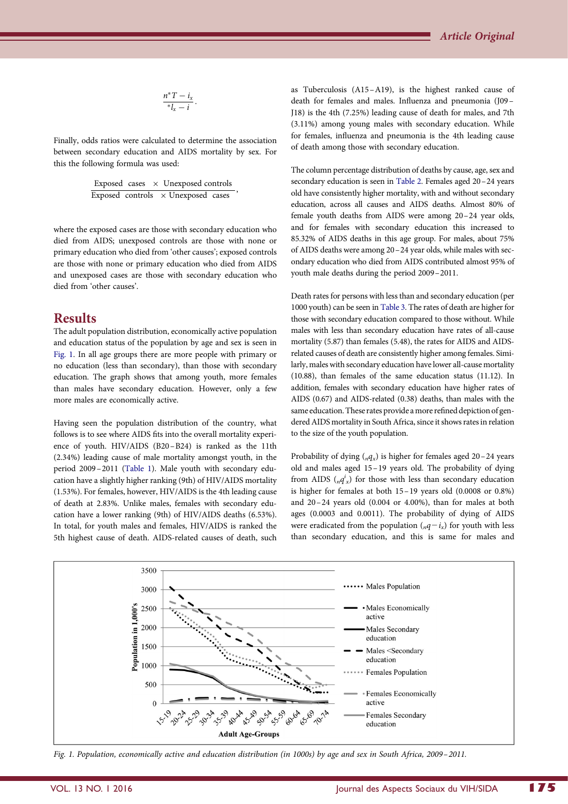$$
\frac{n^*T-i_x}{*l_x-i}.
$$

Finally, odds ratios were calculated to determine the association between secondary education and AIDS mortality by sex. For this the following formula was used:

> Exposed cases  $\times$  Unexposed controls Exposed controls  $\times$  Unexposed cases

where the exposed cases are those with secondary education who died from AIDS; unexposed controls are those with none or primary education who died from 'other causes'; exposed controls are those with none or primary education who died from AIDS and unexposed cases are those with secondary education who died from 'other causes'.

## Results

The adult population distribution, economically active population and education status of the population by age and sex is seen in Fig. 1. In all age groups there are more people with primary or no education (less than secondary), than those with secondary education. The graph shows that among youth, more females than males have secondary education. However, only a few more males are economically active.

Having seen the population distribution of the country, what follows is to see where AIDS fits into the overall mortality experience of youth. HIV/AIDS (B20–B24) is ranked as the 11th (2.34%) leading cause of male mortality amongst youth, in the period 2009–2011 ([Table 1\)](#page-3-0). Male youth with secondary education have a slightly higher ranking (9th) of HIV/AIDS mortality (1.53%). For females, however, HIV/AIDS is the 4th leading cause of death at 2.83%. Unlike males, females with secondary education have a lower ranking (9th) of HIV/AIDS deaths (6.53%). In total, for youth males and females, HIV/AIDS is ranked the 5th highest cause of death. AIDS-related causes of death, such

as Tuberculosis (A15 –A19), is the highest ranked cause of death for females and males. Influenza and pneumonia (J09 – J18) is the 4th (7.25%) leading cause of death for males, and 7th (3.11%) among young males with secondary education. While for females, influenza and pneumonia is the 4th leading cause of death among those with secondary education.

The column percentage distribution of deaths by cause, age, sex and secondary education is seen in [Table 2.](#page-4-0) Females aged 20–24 years old have consistently higher mortality, with and without secondary education, across all causes and AIDS deaths. Almost 80% of female youth deaths from AIDS were among 20–24 year olds, and for females with secondary education this increased to 85.32% of AIDS deaths in this age group. For males, about 75% of AIDS deaths were among 20–24 year olds, while males with secondary education who died from AIDS contributed almost 95% of youth male deaths during the period 2009–2011.

Death rates for persons with less than and secondary education (per 1000 youth) can be seen in [Table 3](#page-4-0). The rates of death are higher for those with secondary education compared to those without. While males with less than secondary education have rates of all-cause mortality (5.87) than females (5.48), the rates for AIDS and AIDSrelated causes of death are consistently higher among females. Similarly, males with secondary education have lower all-cause mortality (10.88), than females of the same education status (11.12). In addition, females with secondary education have higher rates of AIDS (0.67) and AIDS-related (0.38) deaths, than males with the same education. These rates provide a more refined depiction of gendered AIDS mortality in South Africa, since it shows rates in relation to the size of the youth population.

Probability of dying  $\binom{nq_x}{n}$  is higher for females aged 20–24 years old and males aged 15–19 years old. The probability of dying from AIDS  $\binom{nq^i}{n}$  for those with less than secondary education is higher for females at both 15–19 years old (0.0008 or 0.8%) and 20–24 years old (0.004 or 4.00%), than for males at both ages (0.0003 and 0.0011). The probability of dying of AIDS were eradicated from the population  $(nq-i<sub>x</sub>)$  for youth with less than secondary education, and this is same for males and



Fig. 1. Population, economically active and education distribution (in 1000s) by age and sex in South Africa, 2009–2011.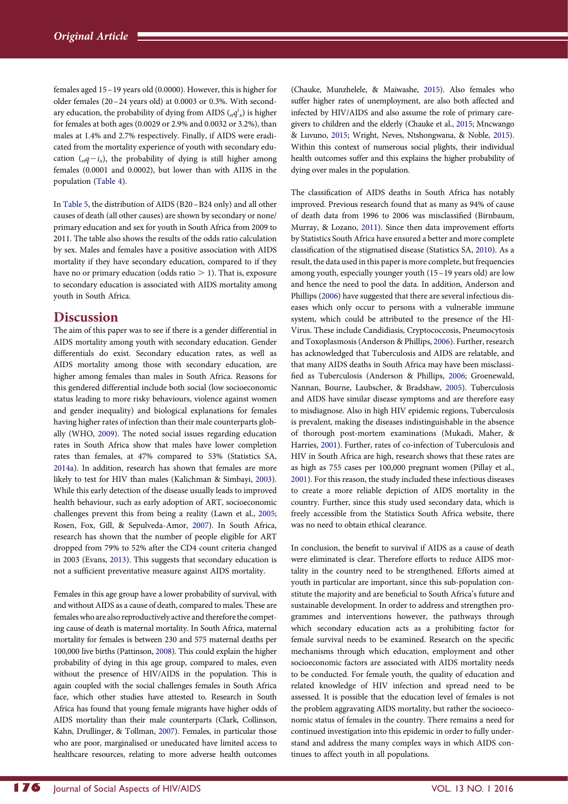<span id="page-7-0"></span>females aged 15–19 years old (0.0000). However, this is higher for older females (20 –24 years old) at 0.0003 or 0.3%. With secondary education, the probability of dying from AIDS ( $_n q^i_x$ ) is higher for females at both ages (0.0029 or 2.9% and 0.0032 or 3.2%), than males at 1.4% and 2.7% respectively. Finally, if AIDS were eradicated from the mortality experience of youth with secondary education  $(nq-i_x)$ , the probability of dying is still higher among females (0.0001 and 0.0002), but lower than with AIDS in the population [\(Table 4](#page-4-0)).

In [Table 5](#page-5-0), the distribution of AIDS (B20–B24 only) and all other causes of death (all other causes) are shown by secondary or none/ primary education and sex for youth in South Africa from 2009 to 2011. The table also shows the results of the odds ratio calculation by sex. Males and females have a positive association with AIDS mortality if they have secondary education, compared to if they have no or primary education (odds ratio  $> 1$ ). That is, exposure to secondary education is associated with AIDS mortality among youth in South Africa.

## **Discussion**

The aim of this paper was to see if there is a gender differential in AIDS mortality among youth with secondary education. Gender differentials do exist. Secondary education rates, as well as AIDS mortality among those with secondary education, are higher among females than males in South Africa. Reasons for this gendered differential include both social (low socioeconomic status leading to more risky behaviours, violence against women and gender inequality) and biological explanations for females having higher rates of infection than their male counterparts globally (WHO, [2009\)](#page-8-0). The noted social issues regarding education rates in South Africa show that males have lower completion rates than females, at 47% compared to 53% (Statistics SA, [2014a](#page-8-0)). In addition, research has shown that females are more likely to test for HIV than males (Kalichman & Simbayi, [2003](#page-8-0)). While this early detection of the disease usually leads to improved health behaviour, such as early adoption of ART, socioeconomic challenges prevent this from being a reality (Lawn et al., [2005](#page-8-0); Rosen, Fox, Gill, & Sepulveda-Amor, [2007\)](#page-8-0). In South Africa, research has shown that the number of people eligible for ART dropped from 79% to 52% after the CD4 count criteria changed in 2003 (Evans, [2013](#page-8-0)). This suggests that secondary education is not a sufficient preventative measure against AIDS mortality.

Females in this age group have a lower probability of survival, with and without AIDS as a cause of death, compared to males. These are females who are also reproductively active and therefore the competing cause of death is maternal mortality. In South Africa, maternal mortality for females is between 230 and 575 maternal deaths per 100,000 live births (Pattinson, [2008](#page-8-0)). This could explain the higher probability of dying in this age group, compared to males, even without the presence of HIV/AIDS in the population. This is again coupled with the social challenges females in South Africa face, which other studies have attested to. Research in South Africa has found that young female migrants have higher odds of AIDS mortality than their male counterparts (Clark, Collinson, Kahn, Drullinger, & Tollman, [2007](#page-8-0)). Females, in particular those who are poor, marginalised or uneducated have limited access to healthcare resources, relating to more adverse health outcomes (Chauke, Munzhelele, & Maiwashe, [2015](#page-8-0)). Also females who suffer higher rates of unemployment, are also both affected and infected by HIV/AIDS and also assume the role of primary caregivers to children and the elderly (Chauke et al., [2015](#page-8-0); Mncwango & Luvuno, [2015](#page-8-0); Wright, Neves, Ntshongwana, & Noble, [2015](#page-8-0)). Within this context of numerous social plights, their individual health outcomes suffer and this explains the higher probability of dying over males in the population.

The classification of AIDS deaths in South Africa has notably improved. Previous research found that as many as 94% of cause of death data from 1996 to 2006 was misclassified (Birnbaum, Murray, & Lozano, [2011](#page-8-0)). Since then data improvement efforts by Statistics South Africa have ensured a better and more complete classification of the stigmatised disease (Statistics SA, [2010\)](#page-8-0). As a result, the data used in this paper is more complete, but frequencies among youth, especially younger youth (15–19 years old) are low and hence the need to pool the data. In addition, Anderson and Phillips [\(2006](#page-8-0)) have suggested that there are several infectious diseases which only occur to persons with a vulnerable immune system, which could be attributed to the presence of the HI-Virus. These include Candidiasis, Cryptococcosis, Pneumocytosis and Toxoplasmosis (Anderson & Phillips, [2006\)](#page-8-0). Further, research has acknowledged that Tuberculosis and AIDS are relatable, and that many AIDS deaths in South Africa may have been misclassified as Tuberculosis (Anderson & Phillips, [2006;](#page-8-0) Groenewald, Nannan, Bourne, Laubscher, & Bradshaw, [2005](#page-8-0)). Tuberculosis and AIDS have similar disease symptoms and are therefore easy to misdiagnose. Also in high HIV epidemic regions, Tuberculosis is prevalent, making the diseases indistinguishable in the absence of thorough post-mortem examinations (Mukadi, Maher, & Harries, [2001\)](#page-8-0). Further, rates of co-infection of Tuberculosis and HIV in South Africa are high, research shows that these rates are as high as 755 cases per 100,000 pregnant women (Pillay et al., [2001](#page-8-0)). For this reason, the study included these infectious diseases to create a more reliable depiction of AIDS mortality in the country. Further, since this study used secondary data, which is freely accessible from the Statistics South Africa website, there was no need to obtain ethical clearance.

In conclusion, the benefit to survival if AIDS as a cause of death were eliminated is clear. Therefore efforts to reduce AIDS mortality in the country need to be strengthened. Efforts aimed at youth in particular are important, since this sub-population constitute the majority and are beneficial to South Africa's future and sustainable development. In order to address and strengthen programmes and interventions however, the pathways through which secondary education acts as a prohibiting factor for female survival needs to be examined. Research on the specific mechanisms through which education, employment and other socioeconomic factors are associated with AIDS mortality needs to be conducted. For female youth, the quality of education and related knowledge of HIV infection and spread need to be assessed. It is possible that the education level of females is not the problem aggravating AIDS mortality, but rather the socioeconomic status of females in the country. There remains a need for continued investigation into this epidemic in order to fully understand and address the many complex ways in which AIDS continues to affect youth in all populations.